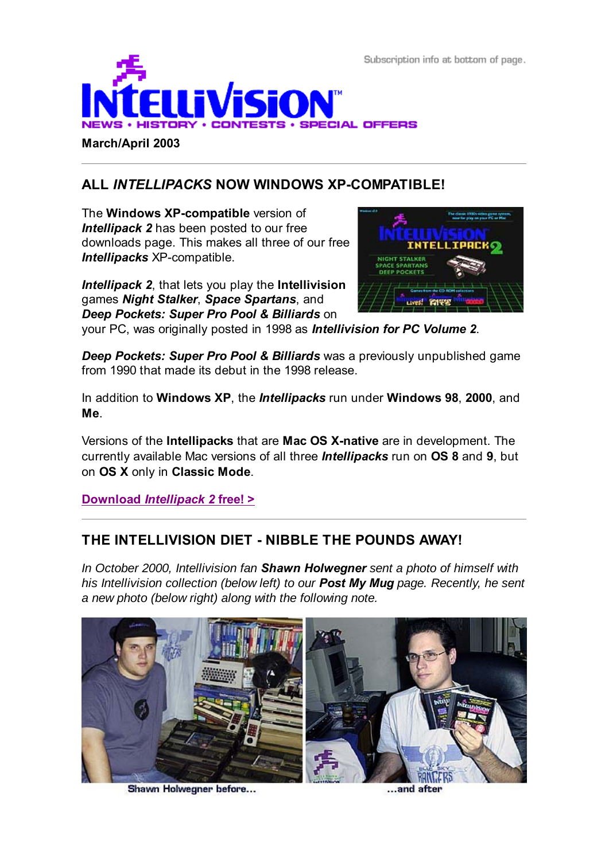Subscription info at bottom of page.



#### **March/April 2003**

# **ALL** *INTELLIPACKS* **NOW WINDOWS XP-COMPATIBLE!**

The **Windows XP-compatible** version of **Intellipack 2** has been posted to our free downloads page. This makes all three of our free *Intellipacks* XP-compatible.

*Intellipack 2*, that lets you play the **Intellivision** games *Night Stalker*, *Space Spartans*, and *Deep Pockets: Super Pro Pool & Billiards* on



your PC, was originally posted in 1998 as *Intellivision for PC Volume 2*.

*Deep Pockets: Super Pro Pool & Billiards* was a previously unpublished game from 1990 that made its debut in the 1998 release.

In addition to **Windows XP**, the *Intellipacks* run under **Windows 98**, **2000**, and **Me**.

Versions of the **Intellipacks** that are **Mac OS X-native** are in development. The currently available Mac versions of all three *Intellipacks* run on **OS 8** and **9**, but on **OS X** only in **Classic Mode**.

**Download** *Intellipack 2* **free! >**

## **THE INTELLIVISION DIET - NIBBLE THE POUNDS AWAY!**

*In October 2000, Intellivision fan Shawn Holwegner sent a photo of himself with his Intellivision collection (below left) to our Post My Mug page. Recently, he sent a new photo (below right) along with the following note.*



Shawn Holwegner before...

...and after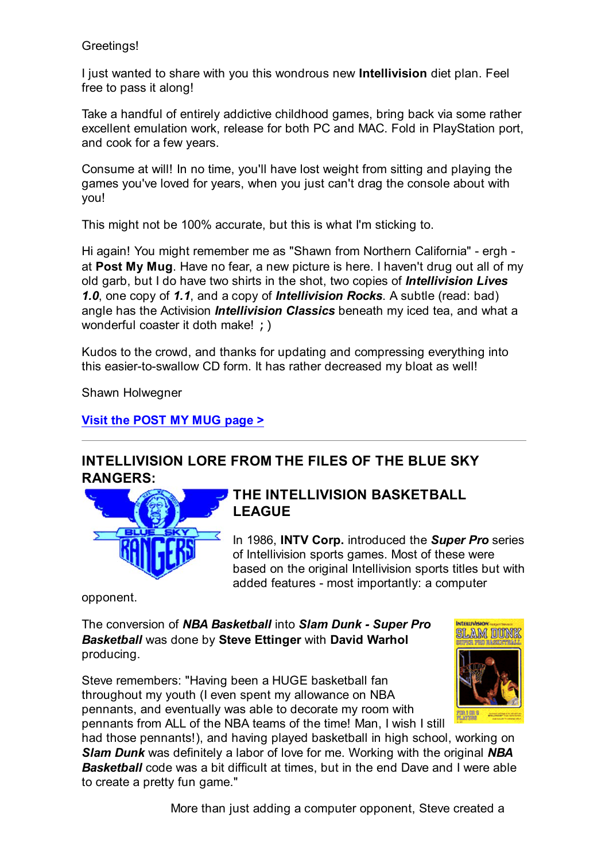### Greetings!

I just wanted to share with you this wondrous new **Intellivision** diet plan. Feel free to pass it along!

Take a handful of entirely addictive childhood games, bring back via some rather excellent emulation work, release for both PC and MAC. Fold in PlayStation port, and cook for a few years.

Consume at will! In no time, you'll have lost weight from sitting and playing the games you've loved for years, when you just can't drag the console about with you!

This might not be 100% accurate, but this is what I'm sticking to.

Hi again! You might remember me as "Shawn from Northern California" - ergh at **Post My Mug**. Have no fear, a new picture is here. I haven't drug out all of my old garb, but I do have two shirts in the shot, two copies of *Intellivision Lives 1.0*, one copy of *1.1*, and a copy of *Intellivision Rocks*. A subtle (read: bad) angle has the Activision *Intellivision Classics* beneath my iced tea, and what a wonderful coaster it doth make!  $\rightarrow$ 

Kudos to the crowd, and thanks for updating and compressing everything into this easier-to-swallow CD form. It has rather decreased my bloat as well!

Shawn Holwegner

### **Visit the POST MY MUG page >**

# **INTELLIVISION LORE FROM THE FILES OF THE BLUE SKY RANGERS:**



## **THE INTELLIVISION BASKETBALL LEAGUE**

In 1986, **INTV Corp.** introduced the *Super Pro* series of Intellivision sports games. Most of these were based on the original Intellivision sports titles but with added features - most importantly: a computer

opponent.

The conversion of *NBA Basketball* into *Slam Dunk - Super Pro Basketball* was done by **Steve Ettinger** with **David Warhol** producing.

Steve remembers: "Having been a HUGE basketball fan throughout my youth (I even spent my allowance on NBA pennants, and eventually was able to decorate my room with pennants from ALL of the NBA teams of the time! Man, I wish I still



had those pennants!), and having played basketball in high school, working on *Slam Dunk* was definitely a labor of love for me. Working with the original *NBA Basketball* code was a bit difficult at times, but in the end Dave and I were able to create a pretty fun game."

More than just adding a computer opponent, Steve created a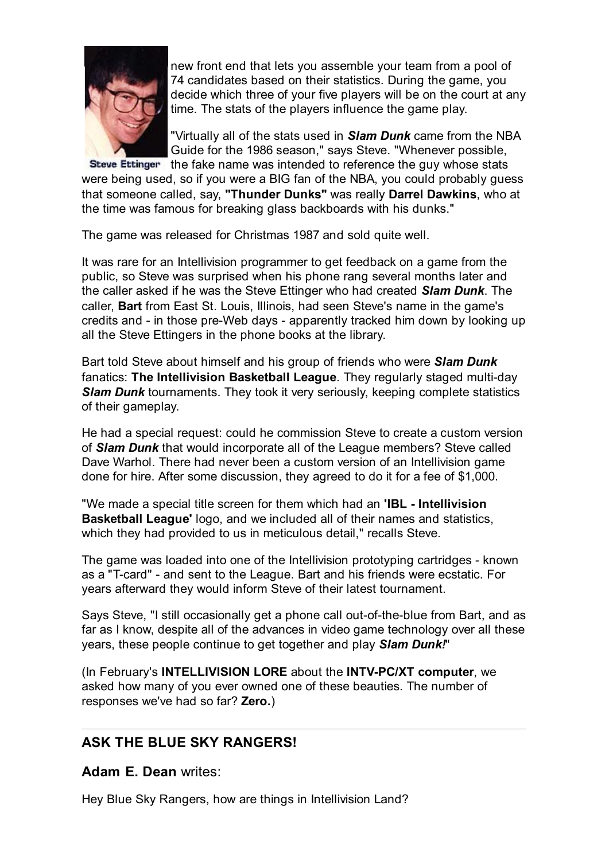

new front end that lets you assemble your team from a pool of 74 candidates based on their statistics. During the game, you decide which three of your five players will be on the court at any time. The stats of the players influence the game play.

"Virtually all of the stats used in *Slam Dunk* came from the NBA Guide for the 1986 season," says Steve. "Whenever possible,

Steve Ettinger the fake name was intended to reference the guy whose stats were being used, so if you were a BIG fan of the NBA, you could probably guess that someone called, say, **"Thunder Dunks"** was really **Darrel Dawkins**, who at the time was famous for breaking glass backboards with his dunks."

The game was released for Christmas 1987 and sold quite well.

It was rare for an Intellivision programmer to get feedback on a game from the public, so Steve was surprised when his phone rang several months later and the caller asked if he was the Steve Ettinger who had created *Slam Dunk*. The caller, **Bart** from East St. Louis, Illinois, had seen Steve's name in the game's credits and - in those pre-Web days - apparently tracked him down by looking up all the Steve Ettingers in the phone books at the library.

Bart told Steve about himself and his group of friends who were *Slam Dunk* fanatics: **The Intellivision Basketball League**. They regularly staged multi-day *Slam Dunk* tournaments. They took it very seriously, keeping complete statistics of their gameplay.

He had a special request: could he commission Steve to create a custom version of *Slam Dunk* that would incorporate all of the League members? Steve called Dave Warhol. There had never been a custom version of an Intellivision game done for hire. After some discussion, they agreed to do it for a fee of \$1,000.

"We made a special title screen for them which had an **'IBL - Intellivision Basketball League'** logo, and we included all of their names and statistics, which they had provided to us in meticulous detail," recalls Steve.

The game was loaded into one of the Intellivision prototyping cartridges - known as a "T-card" - and sent to the League. Bart and his friends were ecstatic. For years afterward they would inform Steve of their latest tournament.

Says Steve, "I still occasionally get a phone call out-of-the-blue from Bart, and as far as I know, despite all of the advances in video game technology over all these years, these people continue to get together and play *Slam Dunk!*"

(In February's **INTELLIVISION LORE** about the **INTV-PC/XT computer**, we asked how many of you ever owned one of these beauties. The number of responses we've had so far? **Zero.**)

## **ASK THE BLUE SKY RANGERS!**

**Adam E. Dean** writes:

Hey Blue Sky Rangers, how are things in Intellivision Land?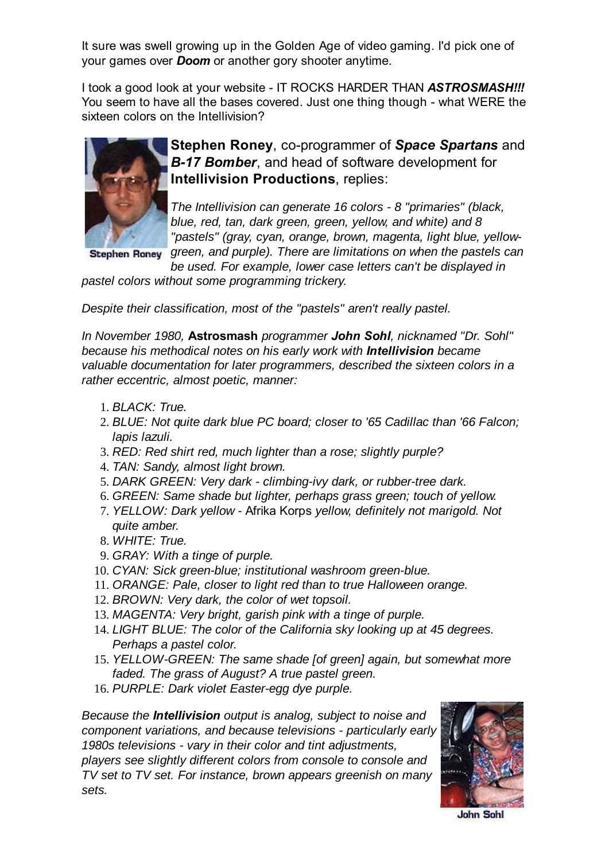It sure was swell growing up in the Golden Age of video gaming. I'd pick one of your games over *Doom* or another gory shooter anytime.

I took a good look at your website - IT ROCKS HARDER THAN *ASTROSMASH!!!* You seem to have all the bases covered. Just one thing though - what WERE the sixteen colors on the Intellivision?



**Stephen Roney**, co-programmer of *Space Spartans* and *B-17 Bomber*, and head of software development for **Intellivision Productions**, replies:

*The Intellivision can generate 16 colors - 8 "primaries" (black, blue, red, tan, dark green, green, yellow, and white) and 8 "pastels" (gray, cyan, orange, brown, magenta, light blue, yellowgreen, and purple). There are limitations on when the pastels can*

**Stephen Roney** 

*be used. For example, lower case letters can't be displayed in pastel colors without some programming trickery.*

*Despite their classification, most of the "pastels" aren't really pastel.*

*In November 1980,* **Astrosmash** *programmer John Sohl, nicknamed "Dr. Sohl" because his methodical notes on his early work with Intellivision became valuable documentation for later programmers, described the sixteen colors in a rather eccentric, almost poetic, manner:*

- 1. *BLACK: True.*
- *BLUE: Not quite dark blue PC board; closer to '65 Cadillac than '66 Falcon;* 2. *lapis lazuli.*
- 3. *RED: Red shirt red, much lighter than a rose; slightly purple?*
- 4. *TAN: Sandy, almost light brown.*
- 5. *DARK GREEN: Very dark climbing-ivy dark, or rubber-tree dark.*
- 6. *GREEN: Same shade but lighter, perhaps grass green; touch of yellow.*
- *YELLOW: Dark yellow* Afrika Korps *yellow, definitely not marigold. Not* 7. *quite amber.*
- 8. *WHITE: True.*
- 9. *GRAY: With a tinge of purple.*
- 10. *CYAN: Sick green-blue; institutional washroom green-blue.*
- 11. *ORANGE: Pale, closer to light red than to true Halloween orange.*
- 12. *BROWN: Very dark, the color of wet topsoil.*
- 13. *MAGENTA: Very bright, garish pink with a tinge of purple.*
- *LIGHT BLUE: The color of the California sky looking up at 45 degrees.* 14. *Perhaps a pastel color.*
- *YELLOW-GREEN: The same shade [of green] again, but somewhat more* 15. *faded. The grass of August? A true pastel green.*
- 16. *PURPLE: Dark violet Easter-egg dye purple.*

*Because the Intellivision output is analog, subject to noise and component variations, and because televisions - particularly early 1980s televisions - vary in their color and tint adjustments, players see slightly different colors from console to console and TV set to TV set. For instance, brown appears greenish on many sets.*



**John Sohl**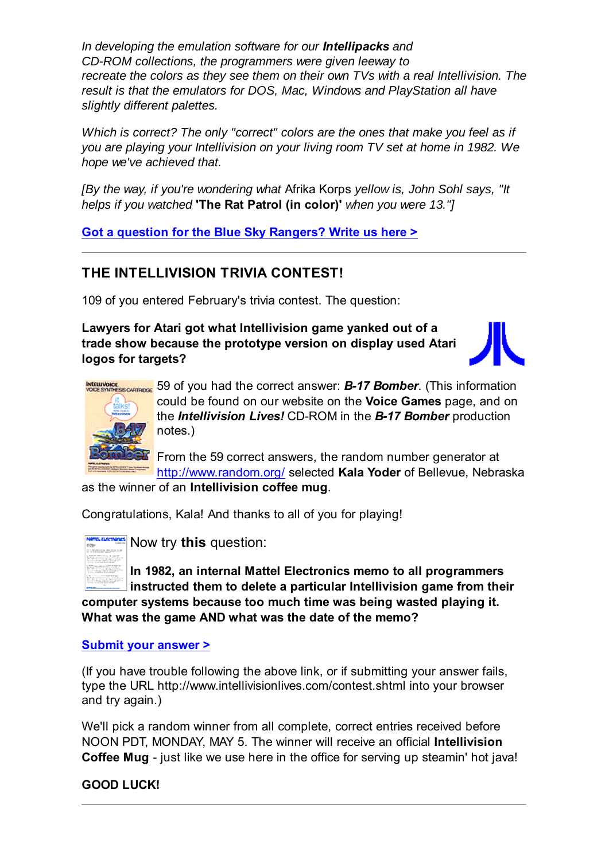*In developing the emulation software for our Intellipacks and CD-ROM collections, the programmers were given leeway to recreate the colors as they see them on their own TVs with a real Intellivision. The result is that the emulators for DOS, Mac, Windows and PlayStation all have slightly different palettes.*

*Which is correct? The only "correct" colors are the ones that make you feel as if you are playing your Intellivision on your living room TV set at home in 1982. We hope we've achieved that.*

*[By the way, if you're wondering what* Afrika Korps *yellow is, John Sohl says, "It helps if you watched* **'The Rat Patrol (in color)'** *when you were 13."]*

**Got a question for the Blue Sky Rangers? Write us here >**

# **THE INTELLIVISION TRIVIA CONTEST!**

109 of you entered February's trivia contest. The question:

**Lawyers for Atari got what Intellivision game yanked out of a trade show because the prototype version on display used Atari logos for targets?**





59 of you had the correct answer: *B-17 Bomber*. (This information could be found on our website on the **Voice Games** page, and on the *Intellivision Lives!* CD-ROM in the *B-17 Bomber* production notes.)

From the 59 correct answers, the random number generator at http://www.random.org/ selected **Kala Yoder** of Bellevue, Nebraska as the winner of an **Intellivision coffee mug**.

Congratulations, Kala! And thanks to all of you for playing!



Now try **this** question:

**In 1982, an internal Mattel Electronics memo to all programmers instructed them to delete a particular Intellivision game from their computer systems because too much time was being wasted playing it. What was the game AND what was the date of the memo?**

### **Submit your answer >**

(If you have trouble following the above link, or if submitting your answer fails, type the URL http://www.intellivisionlives.com/contest.shtml into your browser and try again.)

We'll pick a random winner from all complete, correct entries received before NOON PDT, MONDAY, MAY 5. The winner will receive an official **Intellivision Coffee Mug** - just like we use here in the office for serving up steamin' hot java!

**GOOD LUCK!**